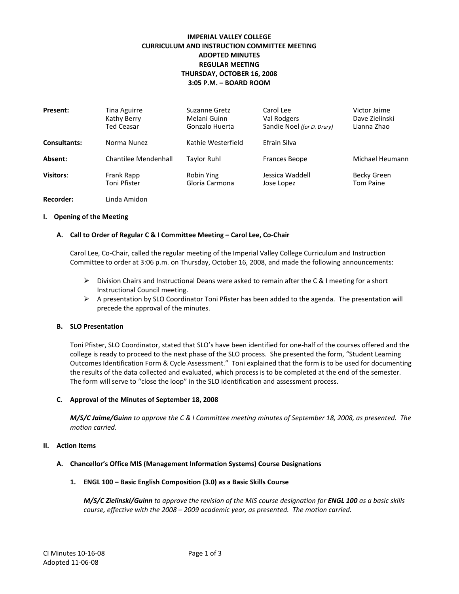# **IMPERIAL VALLEY COLLEGE CURRICULUM AND INSTRUCTION COMMITTEE MEETING ADOPTED MINUTES REGULAR MEETING THURSDAY, OCTOBER 16, 2008 3:05 P.M. – BOARD ROOM**

| Present:            | Tina Aguirre<br>Kathy Berry<br><b>Ted Ceasar</b> | Suzanne Gretz<br>Melani Guinn<br>Gonzalo Huerta | Carol Lee<br>Val Rodgers<br>Sandie Noel (for D. Drury) | Victor Jaime<br>Dave Zielinski<br>Lianna Zhao |
|---------------------|--------------------------------------------------|-------------------------------------------------|--------------------------------------------------------|-----------------------------------------------|
| <b>Consultants:</b> | Norma Nunez                                      | Kathie Westerfield                              | Efrain Silva                                           |                                               |
| Absent:             | Chantilee Mendenhall                             | Taylor Ruhl                                     | <b>Frances Beope</b>                                   | Michael Heumann                               |
| <b>Visitors:</b>    | Frank Rapp<br>Toni Pfister                       | Robin Ying<br>Gloria Carmona                    | Jessica Waddell<br>Jose Lopez                          | Becky Green<br><b>Tom Paine</b>               |
| Recorder:           | Linda Amidon                                     |                                                 |                                                        |                                               |

### **I. Opening of the Meeting**

### **A. Call to Order of Regular C & I Committee Meeting – Carol Lee, Co-Chair**

Carol Lee, Co-Chair, called the regular meeting of the Imperial Valley College Curriculum and Instruction Committee to order at 3:06 p.m. on Thursday, October 16, 2008, and made the following announcements:

- $\triangleright$  Division Chairs and Instructional Deans were asked to remain after the C & I meeting for a short Instructional Council meeting.
- $\triangleright$  A presentation by SLO Coordinator Toni Pfister has been added to the agenda. The presentation will precede the approval of the minutes.

#### **B. SLO Presentation**

Toni Pfister, SLO Coordinator, stated that SLO's have been identified for one-half of the courses offered and the college is ready to proceed to the next phase of the SLO process. She presented the form, "Student Learning Outcomes Identification Form & Cycle Assessment." Toni explained that the form is to be used for documenting the results of the data collected and evaluated, which process is to be completed at the end of the semester. The form will serve to "close the loop" in the SLO identification and assessment process.

#### **C. Approval of the Minutes of September 18, 2008**

*M/S/C Jaime/Guinn to approve the C & I Committee meeting minutes of September 18, 2008, as presented. The motion carried.*

### **II. Action Items**

### **A. Chancellor's Office MIS (Management Information Systems) Course Designations**

#### **1. ENGL 100 – Basic English Composition (3.0) as a Basic Skills Course**

*M/S/C Zielinski/Guinn to approve the revision of the MIS course designation for ENGL 100 as a basic skills course, effective with the 2008 – 2009 academic year, as presented. The motion carried.*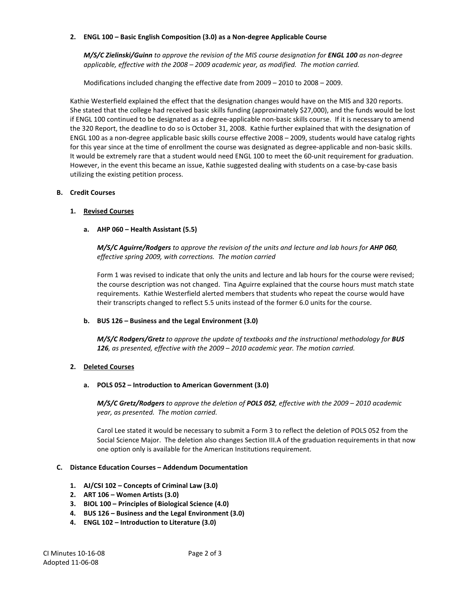### **2. ENGL 100 – Basic English Composition (3.0) as a Non-degree Applicable Course**

*M/S/C Zielinski/Guinn to approve the revision of the MIS course designation for ENGL 100 as non-degree applicable, effective with the 2008 – 2009 academic year, as modified. The motion carried.*

Modifications included changing the effective date from 2009 – 2010 to 2008 – 2009.

Kathie Westerfield explained the effect that the designation changes would have on the MIS and 320 reports. She stated that the college had received basic skills funding (approximately \$27,000), and the funds would be lost if ENGL 100 continued to be designated as a degree-applicable non-basic skills course. If it is necessary to amend the 320 Report, the deadline to do so is October 31, 2008. Kathie further explained that with the designation of ENGL 100 as a non-degree applicable basic skills course effective 2008 – 2009, students would have catalog rights for this year since at the time of enrollment the course was designated as degree-applicable and non-basic skills. It would be extremely rare that a student would need ENGL 100 to meet the 60-unit requirement for graduation. However, in the event this became an issue, Kathie suggested dealing with students on a case-by-case basis utilizing the existing petition process.

# **B. Credit Courses**

# **1. Revised Courses**

# **a. AHP 060 – Health Assistant (5.5)**

*M/S/C Aguirre/Rodgers to approve the revision of the units and lecture and lab hours for AHP 060, effective spring 2009, with corrections. The motion carried*

Form 1 was revised to indicate that only the units and lecture and lab hours for the course were revised; the course description was not changed. Tina Aguirre explained that the course hours must match state requirements. Kathie Westerfield alerted members that students who repeat the course would have their transcripts changed to reflect 5.5 units instead of the former 6.0 units for the course.

# **b. BUS 126 – Business and the Legal Environment (3.0)**

*M/S/C Rodgers/Gretz to approve the update of textbooks and the instructional methodology for BUS 126, as presented, effective with the 2009 – 2010 academic year. The motion carried.*

# **2. Deleted Courses**

### **a. POLS 052 – Introduction to American Government (3.0)**

*M/S/C Gretz/Rodgers to approve the deletion of POLS 052, effective with the 2009 – 2010 academic year, as presented. The motion carried.*

Carol Lee stated it would be necessary to submit a Form 3 to reflect the deletion of POLS 052 from the Social Science Major. The deletion also changes Section III.A of the graduation requirements in that now one option only is available for the American Institutions requirement.

### **C. Distance Education Courses – Addendum Documentation**

- **1. AJ/CSI 102 – Concepts of Criminal Law (3.0)**
- **2. ART 106 – Women Artists (3.0)**
- **3. BIOL 100 – Principles of Biological Science (4.0)**
- **4. BUS 126 – Business and the Legal Environment (3.0)**
- **4. ENGL 102 – Introduction to Literature (3.0)**